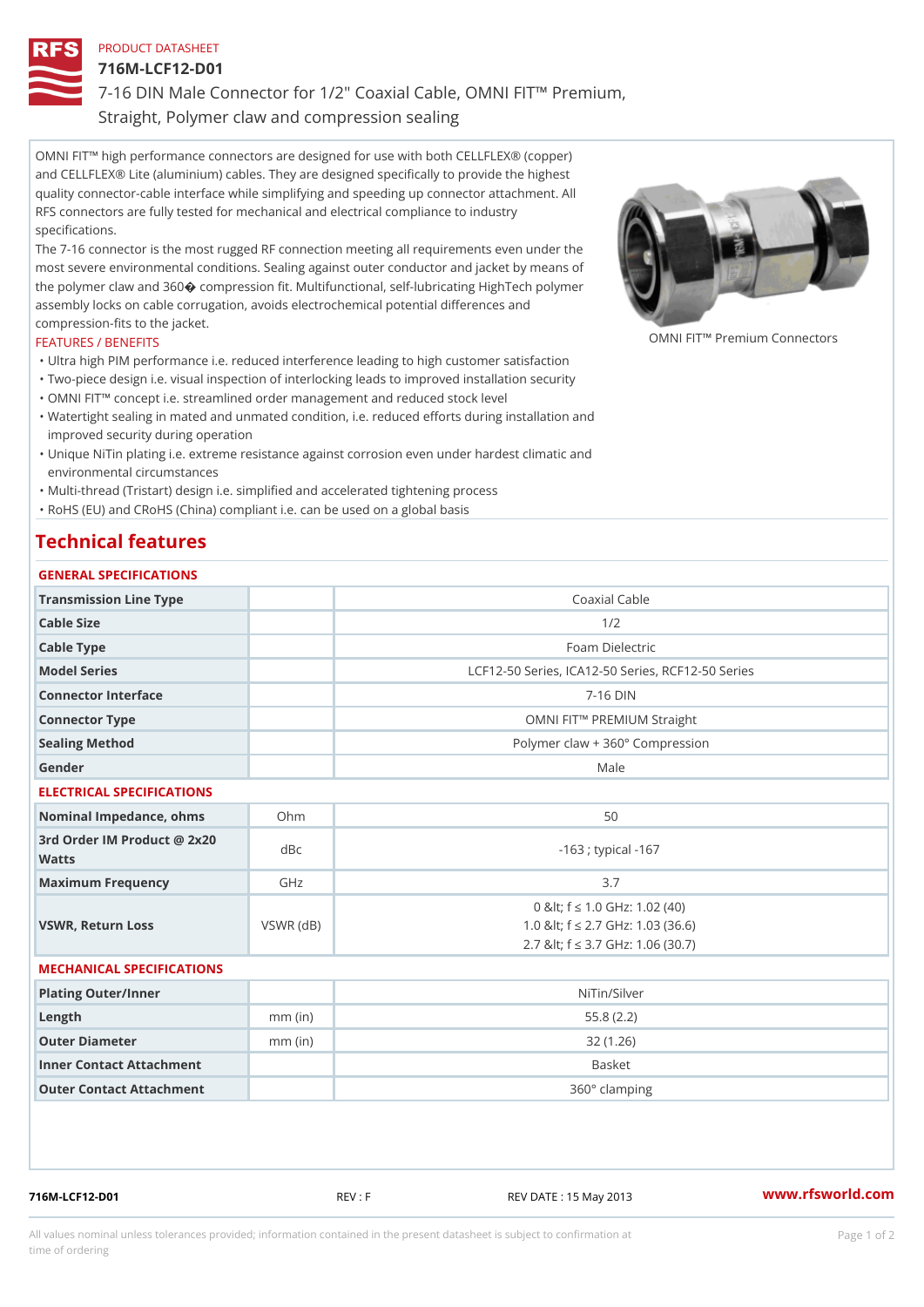## PRODUCT DATASHEET

716M-LCF12-D01

7-16 DIN Male Connector for 1/2" Coaxial Cable, OMNI FIT!" Premium, Straight, Polymer claw and compression sealing

OMNI FIT!" high performance connectors are designed for use with both CELLFLEX® (copper) and CELLFLEX® Lite (aluminium) cables. They are designed specifically to provide the highest quality connector-cable interface while simplifying and speeding up connector attachment. All RFS connectors are fully tested for mechanical and electrical compliance to industry specifications.

The 7-16 connector is the most rugged RF connection meeting all requirements even under the most severe environmental conditions. Sealing against outer conductor and jacket by means of the polymer claw and 360ÿý compression fit. Multifunctional, self-lubricating HighTech polymer assembly locks on cable corrugation, avoids electrochemical potential differences and compression-fits to the jacket.

## FEATURES / BENEFITS

OMNI FIT!" Premium Connectors

- "Ultra high PIM performance i.e. reduced interference leading to high customer satisfaction "Two-piece design i.e. visual inspection of interlocking leads to improved installation security
- "OMNI FIT!" concept i.e. streamlined order management and reduced stock level
- Watertight sealing in mated and unmated condition, i.e. reduced efforts during installation and " improved security during operation
- Unique NiTin plating i.e. extreme resistance against corrosion even under hardest climatic and " environmental circumstances

"Multi-thread (Tristart) design i.e. simplified and accelerated tightening process

"RoHS (EU) and CRoHS (China) compliant i.e. can be used on a global basis

## Technical features

| GENERAL SPECIFICATIONS                      |                 |                                                                                                               |
|---------------------------------------------|-----------------|---------------------------------------------------------------------------------------------------------------|
| Transmission Line Type                      |                 | Coaxial Cable                                                                                                 |
| Cable Size                                  |                 | 1/2                                                                                                           |
| Cable Type                                  |                 | Foam Dielectric                                                                                               |
| Model Series                                |                 | LCF12-50 Series, ICA12-50 Series, RCF12-50 Serie                                                              |
| Connector Interface                         |                 | $7 - 16$ DIN                                                                                                  |
| Connector Type                              |                 | OMNI FIT!" PREMIUM Straight                                                                                   |
| Sealing Method                              |                 | Polymer claw + 360° Compression                                                                               |
| Gender                                      |                 | Male                                                                                                          |
| ELECTRICAL SPECIFICATIONS                   |                 |                                                                                                               |
| Nominal Impedance, ohins Ohm                |                 | 50                                                                                                            |
| 3rd Order IM Product @ 2x20<br>dBc<br>Watts |                 | $-163$ ; typical $-167$                                                                                       |
| Maximum Frequency                           | GHz             | 3.7                                                                                                           |
| VSWR, Return Loss                           | $VSWR$ ( $dB$ ) | 0 & It: f "d 1.0 GHz: 1.02 (40)<br>1.0 & It; f "d 2.7 GHz: 1.03 (36.6)<br>2.7 & It; f "d 3.7 GHz: 1.06 (30.7) |
| MECHANICAL SPECIFICATIONS                   |                 |                                                                                                               |
| Plating Outer/Inner                         |                 | NiTin/Silver                                                                                                  |
| $L$ ength                                   | $mm$ (in)       | 55.8(2.2)                                                                                                     |
| Outer Diameter                              | $mm$ (in)       | 32(1.26)                                                                                                      |
| Inner Contact Attachment                    |                 | Basket                                                                                                        |
| Outer Contact Attachment                    |                 | 360° clamping                                                                                                 |

716M-LCF12-D01 REV : F REV DATE : 15 May 2013 [www.](https://www.rfsworld.com)rfsworld.com